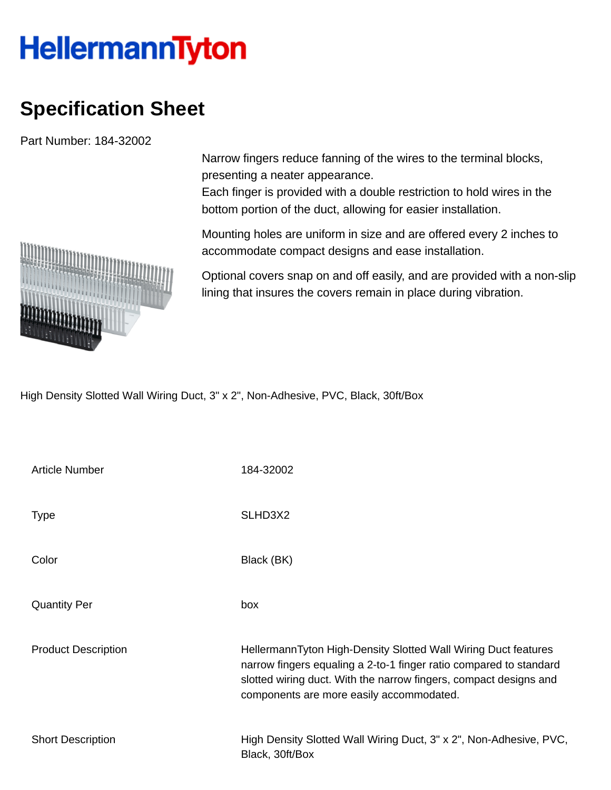## **HellermannTyton**

## **Specification Sheet**

Part Number: 184-32002

Narrow fingers reduce fanning of the wires to the terminal blocks, presenting a neater appearance.

Each finger is provided with a double restriction to hold wires in the bottom portion of the duct, allowing for easier installation.

Mounting holes are uniform in size and are offered every 2 inches to accommodate compact designs and ease installation.

Optional covers snap on and off easily, and are provided with a non-slip lining that insures the covers remain in place during vibration.

High Density Slotted Wall Wiring Duct, 3" x 2", Non-Adhesive, PVC, Black, 30ft/Box

| <b>Article Number</b>      | 184-32002                                                                                                                                                                                                                                             |
|----------------------------|-------------------------------------------------------------------------------------------------------------------------------------------------------------------------------------------------------------------------------------------------------|
| <b>Type</b>                | SLHD3X2                                                                                                                                                                                                                                               |
| Color                      | Black (BK)                                                                                                                                                                                                                                            |
| <b>Quantity Per</b>        | box                                                                                                                                                                                                                                                   |
| <b>Product Description</b> | HellermannTyton High-Density Slotted Wall Wiring Duct features<br>narrow fingers equaling a 2-to-1 finger ratio compared to standard<br>slotted wiring duct. With the narrow fingers, compact designs and<br>components are more easily accommodated. |
| <b>Short Description</b>   | High Density Slotted Wall Wiring Duct, 3" x 2", Non-Adhesive, PVC,<br>Black, 30ft/Box                                                                                                                                                                 |

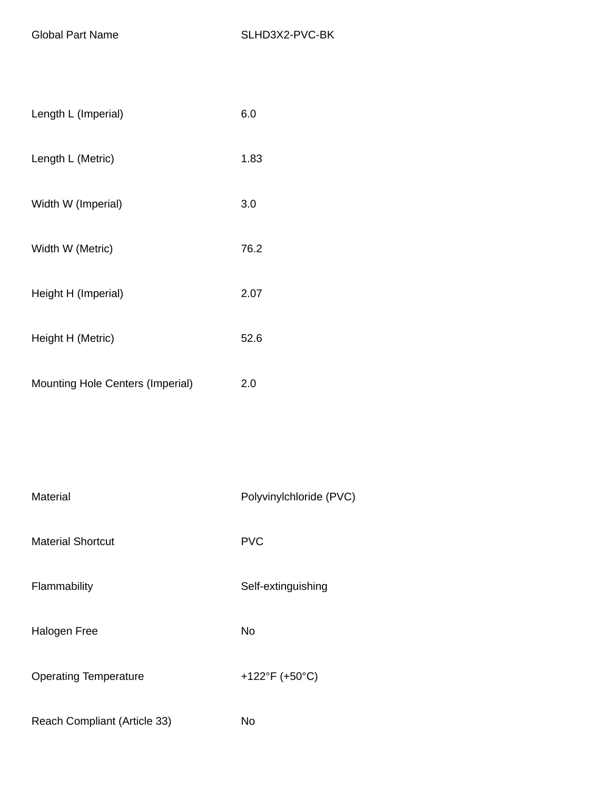| Length L (Imperial)                     | 6.0  |
|-----------------------------------------|------|
| Length L (Metric)                       | 1.83 |
| Width W (Imperial)                      | 3.0  |
| Width W (Metric)                        | 76.2 |
| Height H (Imperial)                     | 2.07 |
| Height H (Metric)                       | 52.6 |
| <b>Mounting Hole Centers (Imperial)</b> | 2.0  |

| Material                     | Polyvinylchloride (PVC) |
|------------------------------|-------------------------|
| <b>Material Shortcut</b>     | <b>PVC</b>              |
| Flammability                 | Self-extinguishing      |
| <b>Halogen Free</b>          | <b>No</b>               |
| <b>Operating Temperature</b> | +122°F (+50°C)          |
| Reach Compliant (Article 33) | No                      |